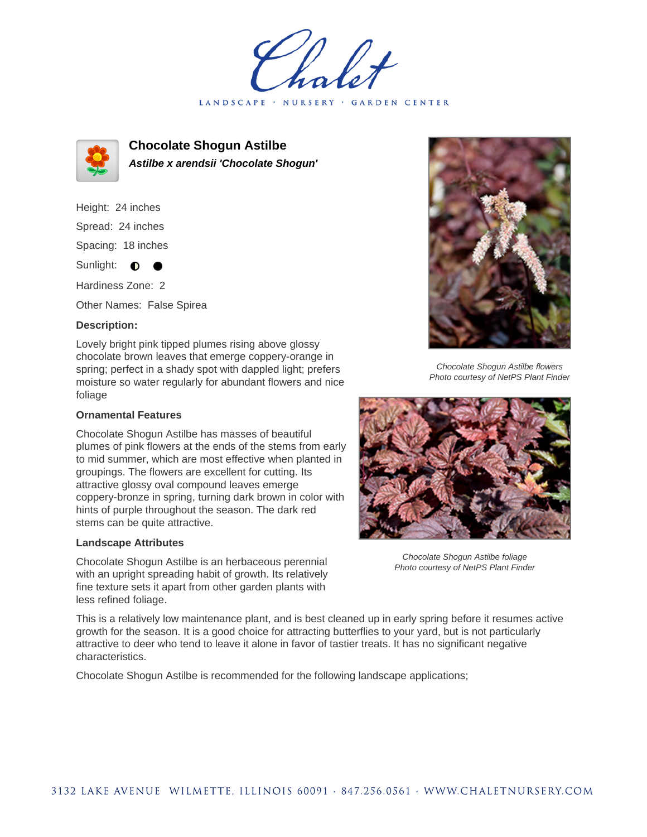LANDSCAPE · NURSERY · GARDEN CENTER



**Chocolate Shogun Astilbe Astilbe x arendsii 'Chocolate Shogun'**

Height: 24 inches Spread: 24 inches Spacing: 18 inches Sunlight:  $\bullet$ Hardiness Zone: 2

Other Names: False Spirea

## **Description:**

Lovely bright pink tipped plumes rising above glossy chocolate brown leaves that emerge coppery-orange in spring; perfect in a shady spot with dappled light; prefers moisture so water regularly for abundant flowers and nice foliage

## **Ornamental Features**

Chocolate Shogun Astilbe has masses of beautiful plumes of pink flowers at the ends of the stems from early to mid summer, which are most effective when planted in groupings. The flowers are excellent for cutting. Its attractive glossy oval compound leaves emerge coppery-bronze in spring, turning dark brown in color with hints of purple throughout the season. The dark red stems can be quite attractive.

## **Landscape Attributes**

Chocolate Shogun Astilbe is an herbaceous perennial with an upright spreading habit of growth. Its relatively fine texture sets it apart from other garden plants with less refined foliage.



Chocolate Shogun Astilbe flowers Photo courtesy of NetPS Plant Finder



Chocolate Shogun Astilbe foliage Photo courtesy of NetPS Plant Finder

This is a relatively low maintenance plant, and is best cleaned up in early spring before it resumes active growth for the season. It is a good choice for attracting butterflies to your yard, but is not particularly attractive to deer who tend to leave it alone in favor of tastier treats. It has no significant negative characteristics.

Chocolate Shogun Astilbe is recommended for the following landscape applications;